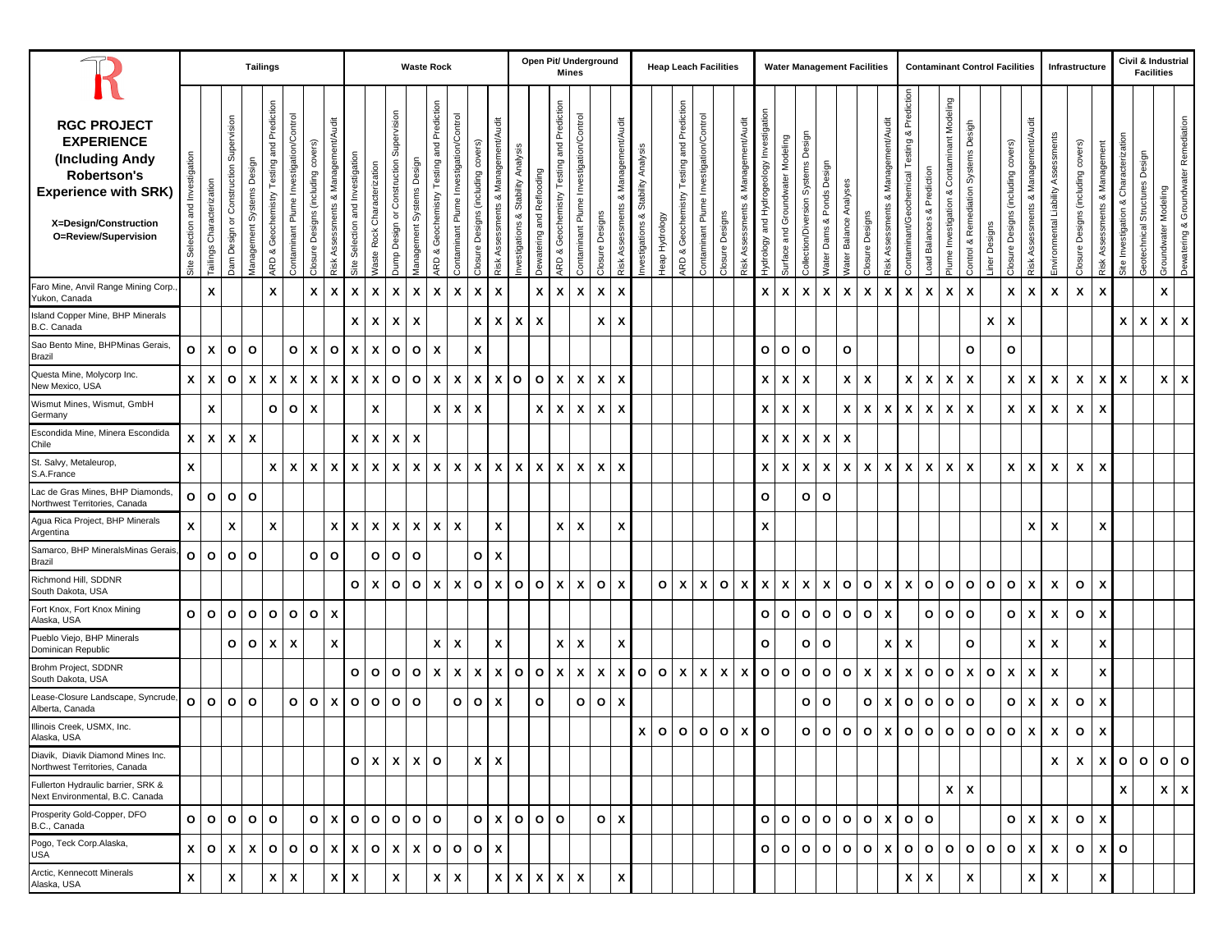|                                                                                                                                                                  |                                     |                              |                                                                 | <b>Tailings</b>              |                                                       |                                         |                                        |                                         |                                  |                                |                                                    | <b>Waste Rock</b>         |                                                       |                                         |                                    |                                                  |                                             |                           | Open Pit/ Underground                                   | <b>Mines</b>                            |                    |                                               |                                          |                |                                              | <b>Heap Leach Facilities</b>            |                           |                                           |                                             |                                  |                                      | <b>Water Management Facilities</b> |                           |                           |                                                  |                                                 |                                  |                                                                  |                                               | <b>Contaminant Control Facilities</b> |                                           |                                           |                                      | Infrastructure                           |                                     |                                                     | Civil & Industrial<br><b>Facilities</b>     |                         |                                         |
|------------------------------------------------------------------------------------------------------------------------------------------------------------------|-------------------------------------|------------------------------|-----------------------------------------------------------------|------------------------------|-------------------------------------------------------|-----------------------------------------|----------------------------------------|-----------------------------------------|----------------------------------|--------------------------------|----------------------------------------------------|---------------------------|-------------------------------------------------------|-----------------------------------------|------------------------------------|--------------------------------------------------|---------------------------------------------|---------------------------|---------------------------------------------------------|-----------------------------------------|--------------------|-----------------------------------------------|------------------------------------------|----------------|----------------------------------------------|-----------------------------------------|---------------------------|-------------------------------------------|---------------------------------------------|----------------------------------|--------------------------------------|------------------------------------|---------------------------|---------------------------|--------------------------------------------------|-------------------------------------------------|----------------------------------|------------------------------------------------------------------|-----------------------------------------------|---------------------------------------|-------------------------------------------|-------------------------------------------|--------------------------------------|------------------------------------------|-------------------------------------|-----------------------------------------------------|---------------------------------------------|-------------------------|-----------------------------------------|
| <b>RGC PROJECT</b><br><b>EXPERIENCE</b><br>(Including Andy<br><b>Robertson's</b><br><b>Experience with SRK)</b><br>X=Design/Construction<br>O=Review/Supervision | Investigation<br>Site Selection and | Characterization<br>Tailings | Supervision<br>Construction<br>$\overline{\circ}$<br>Jam Design | Systems<br><i>Management</i> | Prediction<br>and<br>Testing<br>Geochemistry<br>ARD & | Contaminant Plume Investigation/Control | š<br>(induding<br>Designs (<br>Closure | Management/<br>య<br>Assessments<br>₹isk | Site Selection and Investigation | Characterization<br>Vaste Rock | Supervision<br>Construction<br>ð<br>Design<br>Dump | Management Systems Design | Prediction<br>and<br>Testing<br>Geochemistry<br>ARD & | Contaminant Plume Investigation/Control | Closure Designs (including covers) | Management/Audit<br>ಂಶ<br>sessments<br>ë<br>Risk | Analysis<br>Stability<br>ಯ<br>nvestigations | Dewatering and Reflooding | Prediction<br>and<br>Testing a<br>Geochemistry<br>ARD & | Contaminant Plume Investigation/Control | Closure Designs    | Management/Audit<br>ಂಶ<br>Assessments<br>Risk | Stability Analysis<br>ಜ<br>nvestigations | leap Hydrology | Geochemistry Testing and Prediction<br>ARD & | Contaminant Plume Investigation/Control | Closure Designs           | Management/Audit<br>ಯ<br>Risk Assessments | and Hydrogeology Investigation<br>+ydrology | Surface and Groundwater Modeling | Design<br>ଜି<br>Collection/Diversion | Design<br>Ponds<br>Vater Dams &    | Analyses<br>Vater Balance | Designs<br>Closure        | Management/Audit<br>ಯ<br><b>Risk Assessments</b> | Prediction<br>Contaminant/Geochemical Testing & | Prediction<br>ಂಶ<br>oad Balances | Contaminant Modeling<br>ಯ<br>Investigation<br>Plume <sub>l</sub> | Desigh<br>Systems<br>& Remediation<br>Control | iner Designs                          | (induding covers)<br>Designs (<br>Closure | Management/Audit<br>ಜ<br>Risk Assessments | Assessmen<br>Environmental Liability | covers)<br>Designs (including<br>Closure | Management<br>ಯ<br>Risk Assessments | racterization<br>Char<br>య<br>Investigation<br>Site | Design<br>Structures<br><b>Geotechnical</b> | Modeling<br>Groundwater | Remediation<br>Dewatering & Groundwater |
| Faro Mine, Anvil Range Mining Corp.<br>Yukon, Canada                                                                                                             |                                     | $\mathbf{x}$                 |                                                                 |                              | $\pmb{\mathsf{x}}$                                    |                                         | X                                      | X                                       | X                                | $\boldsymbol{\mathsf{x}}$      | X                                                  | $\boldsymbol{x}$          | X                                                     | X                                       | X                                  | X                                                |                                             | X                         | $\pmb{\chi}$                                            | $\boldsymbol{\mathsf{x}}$               | $\pmb{\mathsf{x}}$ | X                                             |                                          |                |                                              |                                         |                           |                                           | X                                           | $\boldsymbol{\mathsf{x}}$        | X                                    | X                                  | X                         | X                         | X                                                | $\boldsymbol{\mathsf{x}}$                       | X                                | X                                                                | $\pmb{\chi}$                                  |                                       | X                                         | X                                         | X                                    | X                                        | X                                   |                                                     |                                             | $\pmb{\mathsf{x}}$      |                                         |
| Island Copper Mine, BHP Minerals<br>B.C. Canada                                                                                                                  |                                     |                              |                                                                 |                              |                                                       |                                         |                                        |                                         | X                                | X                              | X                                                  | $\boldsymbol{\mathsf{x}}$ |                                                       |                                         | X                                  | $\boldsymbol{\mathsf{x}}$                        | x                                           | X                         |                                                         |                                         | X                  | X                                             |                                          |                |                                              |                                         |                           |                                           |                                             |                                  |                                      |                                    |                           |                           |                                                  |                                                 |                                  |                                                                  |                                               | X                                     | X                                         |                                           |                                      |                                          |                                     | x                                                   | $\boldsymbol{\mathsf{x}}$                   | X                       | $\boldsymbol{\mathsf{x}}$               |
| Sao Bento Mine, BHPMinas Gerais,<br>Brazil                                                                                                                       | $\mathbf{o}$                        | X                            | $\mathbf{o}$                                                    | $\circ$                      |                                                       | $\circ$                                 | $\boldsymbol{\mathsf{x}}$              | o                                       | X                                | X                              | O                                                  | $\mathbf{o}$              | X                                                     |                                         | X                                  |                                                  |                                             |                           |                                                         |                                         |                    |                                               |                                          |                |                                              |                                         |                           |                                           | $\mathbf{o}$                                | $\mathsf{o}$                     | O                                    |                                    | $\mathbf{o}$              |                           |                                                  |                                                 |                                  |                                                                  | $\circ$                                       |                                       | O                                         |                                           |                                      |                                          |                                     |                                                     |                                             |                         |                                         |
| Questa Mine, Molycorp Inc.<br>New Mexico, USA                                                                                                                    | X                                   | $\boldsymbol{x}$             | $\mathbf{o}$                                                    | X                            | X                                                     | X                                       | X                                      | X                                       | $\boldsymbol{\mathsf{x}}$        | $\boldsymbol{\mathsf{x}}$      | $\mathbf{o}$                                       | $\mathbf{o}$              | X                                                     | X                                       | X                                  | X                                                | $\circ$                                     | $\mathbf{o}$              | $\pmb{\mathsf{x}}$                                      | $\boldsymbol{\mathsf{x}}$               | X                  | X                                             |                                          |                |                                              |                                         |                           |                                           | X                                           | X                                | X                                    |                                    | X                         | $\boldsymbol{\mathsf{x}}$ |                                                  | $\pmb{\mathsf{X}}$                              | x                                | X                                                                | X                                             |                                       | X                                         | X                                         | X                                    | X                                        | X                                   | $\boldsymbol{\mathsf{x}}$                           |                                             | $\mathbf{x}$            | $\boldsymbol{\mathsf{x}}$               |
| Wismut Mines, Wismut, GmbH<br>Germany                                                                                                                            |                                     | $\pmb{\mathsf{x}}$           |                                                                 |                              | O                                                     | $\circ$                                 | $\boldsymbol{\mathsf{x}}$              |                                         |                                  | X                              |                                                    |                           | X                                                     | X                                       | X                                  |                                                  |                                             | X                         | $\boldsymbol{x}$                                        | X                                       | X                  | X                                             |                                          |                |                                              |                                         |                           |                                           | X                                           | X                                | X                                    |                                    | X                         | X                         | X                                                | X                                               | x                                | X                                                                | X                                             |                                       | X                                         | X                                         | X                                    | X                                        | X                                   |                                                     |                                             |                         |                                         |
| Escondida Mine, Minera Escondida<br>Chile                                                                                                                        | X                                   | $\boldsymbol{x}$             | $\mathsf{x}$                                                    | X                            |                                                       |                                         |                                        |                                         | X                                | $\boldsymbol{\mathsf{x}}$      | X                                                  | $\pmb{\chi}$              |                                                       |                                         |                                    |                                                  |                                             |                           |                                                         |                                         |                    |                                               |                                          |                |                                              |                                         |                           |                                           | X                                           | $\boldsymbol{\mathsf{x}}$        | X                                    | X                                  | X                         |                           |                                                  |                                                 |                                  |                                                                  |                                               |                                       |                                           |                                           |                                      |                                          |                                     |                                                     |                                             |                         |                                         |
| St. Salvy, Metaleurop,<br>S.A.France                                                                                                                             | X                                   |                              |                                                                 |                              | X                                                     | $\mathsf{x}$                            | X                                      | x                                       | X                                | X                              | X                                                  | $\boldsymbol{x}$          | X                                                     | $\mathsf{x}$                            | X                                  | X                                                | $\mathbf{x}$                                | $\boldsymbol{\mathsf{x}}$ | X                                                       | $\boldsymbol{\mathsf{x}}$               | X                  | X                                             |                                          |                |                                              |                                         |                           |                                           | $\mathsf{x}$                                | $\boldsymbol{\mathsf{x}}$        | X                                    | X                                  | X                         | X                         | X                                                | $\boldsymbol{\mathsf{x}}$                       | X                                | X                                                                | X                                             |                                       | X                                         | x                                         | X                                    | X                                        | X                                   |                                                     |                                             |                         |                                         |
| Lac de Gras Mines, BHP Diamonds,<br>Northwest Territories, Canada                                                                                                | $\mathbf{o}$                        | $\mathbf{o}$                 | $\Omega$                                                        | $\circ$                      |                                                       |                                         |                                        |                                         |                                  |                                |                                                    |                           |                                                       |                                         |                                    |                                                  |                                             |                           |                                                         |                                         |                    |                                               |                                          |                |                                              |                                         |                           |                                           | $\mathbf{o}$                                |                                  | $\circ$                              | $\circ$                            |                           |                           |                                                  |                                                 |                                  |                                                                  |                                               |                                       |                                           |                                           |                                      |                                          |                                     |                                                     |                                             |                         |                                         |
| Agua Rica Project, BHP Minerals<br>Argentina                                                                                                                     | X                                   |                              | x                                                               |                              | X                                                     |                                         |                                        | X                                       | X                                | X                              | X                                                  | X                         | Х                                                     | X                                       |                                    | X                                                |                                             |                           | X                                                       | X                                       |                    | X                                             |                                          |                |                                              |                                         |                           |                                           | X                                           |                                  |                                      |                                    |                           |                           |                                                  |                                                 |                                  |                                                                  |                                               |                                       |                                           | x                                         | X                                    |                                          | X                                   |                                                     |                                             |                         |                                         |
| Samarco, BHP MineralsMinas Gerais<br>Brazil                                                                                                                      | $\circ$                             | $\mathbf{o}$                 | $\mathbf{o}$                                                    | $\circ$                      |                                                       |                                         | O                                      | O                                       |                                  | O                              | O                                                  | $\mathbf{o}$              |                                                       |                                         | $\mathbf{o}$                       | $\boldsymbol{\mathsf{x}}$                        |                                             |                           |                                                         |                                         |                    |                                               |                                          |                |                                              |                                         |                           |                                           |                                             |                                  |                                      |                                    |                           |                           |                                                  |                                                 |                                  |                                                                  |                                               |                                       |                                           |                                           |                                      |                                          |                                     |                                                     |                                             |                         |                                         |
| Richmond Hill, SDDNR<br>South Dakota, USA                                                                                                                        |                                     |                              |                                                                 |                              |                                                       |                                         |                                        |                                         | $\circ$                          | $\boldsymbol{\mathsf{x}}$      | $\mathbf{o}$                                       | $\circ$                   | $\boldsymbol{\mathsf{x}}$                             | $\boldsymbol{\mathsf{x}}$               | $\circ$                            | $\mathbf{x}$                                     | $\circ$                                     | $\mathbf{o}$              | $\pmb{\mathsf{x}}$                                      | $\mathsf{x}$                            | $\mathbf{o}$       | X                                             |                                          | $\mathbf{o}$   | $\mathbf{x}$                                 | X                                       | $\mathbf{o}$              | $\pmb{\mathsf{X}}$                        | X                                           | $\boldsymbol{\mathsf{x}}$        | X                                    | X                                  | $\mathbf{o}$              | $\circ$                   | X                                                | $\boldsymbol{\mathsf{x}}$                       | $\circ$                          | O                                                                | $\mathbf{o}$                                  | $\mathbf{o}$                          | $\mathbf{o}$                              | X                                         | X                                    | $\mathbf{o}$                             | $\boldsymbol{\mathsf{x}}$           |                                                     |                                             |                         |                                         |
| Fort Knox, Fort Knox Mining<br>Alaska, USA                                                                                                                       | $\mathbf{o}$                        | $\mathbf{o}$                 | $\mathbf{o}$                                                    | o                            | O                                                     | $\circ$                                 | O                                      | X                                       |                                  |                                |                                                    |                           |                                                       |                                         |                                    |                                                  |                                             |                           |                                                         |                                         |                    |                                               |                                          |                |                                              |                                         |                           |                                           | $\mathbf{o}$                                | $\mathbf{o}$                     | $\mathbf{o}$                         | $\mathbf{o}$                       | $\circ$                   | $\circ$                   | X                                                |                                                 | $\circ$                          | $\circ$                                                          | $\mathbf{o}$                                  |                                       | $\mathbf{o}$                              | x                                         | X                                    | $\circ$                                  | X                                   |                                                     |                                             |                         |                                         |
| Pueblo Viejo, BHP Minerals<br>Dominican Republic                                                                                                                 |                                     |                              | 0 <sup>o</sup>                                                  |                              | X                                                     | X                                       |                                        | X                                       |                                  |                                |                                                    |                           | X                                                     | X                                       |                                    | X                                                |                                             |                           | $\pmb{\mathsf{x}}$                                      | $\boldsymbol{\mathsf{x}}$               |                    | X                                             |                                          |                |                                              |                                         |                           |                                           | $\mathbf{o}$                                |                                  | O                                    | O                                  |                           |                           | X                                                | $\boldsymbol{\mathsf{x}}$                       |                                  |                                                                  | O                                             |                                       |                                           | X                                         | X                                    |                                          | X                                   |                                                     |                                             |                         |                                         |
| Brohm Project, SDDNR<br>South Dakota, USA                                                                                                                        |                                     |                              |                                                                 |                              |                                                       |                                         |                                        |                                         | $\circ$                          | $\circ$                        | O                                                  | $\mathbf{o}$              | X                                                     | X                                       | $\boldsymbol{\mathsf{x}}$          | X                                                | $\circ$                                     | $\mathbf{o}$              | $\pmb{\mathsf{x}}$                                      | $\mathsf{x}$                            | X                  | $\boldsymbol{\mathsf{x}}$                     | $\circ$                                  | $\circ$        | $\mathbf{x}$                                 | $\boldsymbol{\mathsf{x}}$               | $\boldsymbol{\mathsf{x}}$ | X                                         | $\circ$                                     | $\circ$                          | $\mathbf{o}$                         | $\mathbf{o}$                       | $\circ$                   | X                         | X                                                | X                                               | $\mathbf{o}$                     | O                                                                | X                                             | $\circ$                               | X                                         | x                                         | $\boldsymbol{\mathsf{x}}$            |                                          | X                                   |                                                     |                                             |                         |                                         |
| Lease-Closure Landscape, Syncrude<br>Alberta, Canada                                                                                                             | $\mathbf{o}$                        | $\mathbf{o}$                 | $\Omega$                                                        | $\circ$                      |                                                       | $\circ$                                 | $\circ$                                | x                                       | $\circ$                          | $\circ$                        | $\mathbf{o}$                                       | $\circ$                   |                                                       | $\circ$                                 | $\mathbf{o}$                       | X                                                |                                             | $\circ$                   |                                                         | $\mathbf{o}$                            | $\mathbf{o}$       | X                                             |                                          |                |                                              |                                         |                           |                                           |                                             |                                  | $\circ$                              | $\mathbf{o}$                       |                           | $\circ$                   | X                                                | $\mathbf{o}$                                    | $\mathbf{o}$                     | $\circ$                                                          | O                                             |                                       | O                                         | X                                         | X                                    | $\mathbf{o}$                             | X                                   |                                                     |                                             |                         |                                         |
| Illinois Creek, USMX, Inc.<br>Alaska, USA                                                                                                                        |                                     |                              |                                                                 |                              |                                                       |                                         |                                        |                                         |                                  |                                |                                                    |                           |                                                       |                                         |                                    |                                                  |                                             |                           |                                                         |                                         |                    |                                               | $\mathsf{x}$                             | $\circ$        | $\mathbf{o}$                                 | $\mathbf{o}$                            | $\mathbf{o}$              | X                                         | $\mathbf{o}$                                |                                  | O                                    | $\mathbf{o}$                       | $\mathbf{o}$              | $\circ$                   | X                                                | $\mathbf{o}$                                    | $\mathbf{o}$                     | o                                                                | $\mathbf{o}$                                  | $\circ$                               | O                                         | X                                         | X                                    | o                                        | X                                   |                                                     |                                             |                         |                                         |
| Diavik, Diavik Diamond Mines Inc.<br>Northwest Territories, Canada                                                                                               |                                     |                              |                                                                 |                              |                                                       |                                         |                                        |                                         | $\circ$                          | $\boldsymbol{\mathsf{x}}$      | $x \mid x \mid o$                                  |                           |                                                       |                                         |                                    | $x \mid x$                                       |                                             |                           |                                                         |                                         |                    |                                               |                                          |                |                                              |                                         |                           |                                           |                                             |                                  |                                      |                                    |                           |                           |                                                  |                                                 |                                  |                                                                  |                                               |                                       |                                           |                                           | X                                    | X                                        |                                     |                                                     | x o o o o                                   |                         |                                         |
| Fullerton Hydraulic barrier, SRK &<br>Next Environmental, B.C. Canada                                                                                            |                                     |                              |                                                                 |                              |                                                       |                                         |                                        |                                         |                                  |                                |                                                    |                           |                                                       |                                         |                                    |                                                  |                                             |                           |                                                         |                                         |                    |                                               |                                          |                |                                              |                                         |                           |                                           |                                             |                                  |                                      |                                    |                           |                           |                                                  |                                                 |                                  | $x \mid x$                                                       |                                               |                                       |                                           |                                           |                                      |                                          |                                     | X                                                   |                                             | $x \mid x$              |                                         |
| Prosperity Gold-Copper, DFO<br>B.C., Canada                                                                                                                      |                                     | o o                          |                                                                 | $O$ $O$                      | $\circ$                                               |                                         | $\circ$                                | X                                       | o o o o                          |                                |                                                    |                           |                                                       |                                         |                                    |                                                  |                                             |                           | $0 \mid x \mid 0 \mid 0$                                |                                         | O                  | $\boldsymbol{\mathsf{x}}$                     |                                          |                |                                              |                                         |                           |                                           | $\circ$                                     | $\mathbf{o}$                     | l o l                                | 0 0                                |                           | olxlo                     |                                                  |                                                 | $\circ$                          |                                                                  |                                               |                                       | $\mathbf{o}$                              | x                                         | $\boldsymbol{\mathsf{x}}$            | $\circ$                                  | $\boldsymbol{\mathsf{x}}$           |                                                     |                                             |                         |                                         |
| Pogo, Teck Corp.Alaska,<br>USA                                                                                                                                   | $\pmb{\mathsf{x}}$                  | $\circ$                      |                                                                 | $X$ $X$                      |                                                       |                                         |                                        |                                         |                                  |                                |                                                    |                           |                                                       |                                         |                                    |                                                  |                                             |                           |                                                         |                                         |                    |                                               |                                          |                |                                              |                                         |                           |                                           |                                             | $O$ $O$                          |                                      | o o o                              |                           | $ 0 $ X $ 0 $             |                                                  |                                                 |                                  | 0 0 0                                                            |                                               | $O$ $O$                               |                                           | $\boldsymbol{\mathsf{x}}$                 | $\boldsymbol{\mathsf{x}}$            | $\circ$                                  |                                     | $x$   o                                             |                                             |                         |                                         |
| Arctic, Kennecott Minerals<br>Alaska, USA                                                                                                                        | X                                   |                              | X                                                               |                              | $x \mid$                                              | X                                       |                                        |                                         | $x \mid x$                       |                                | X                                                  |                           | $\boldsymbol{\mathsf{x}}$                             | $\mathbf{x}$                            |                                    |                                                  |                                             |                           | $x \mid x \mid x \mid x$                                | $\mathbf{x}$                            |                    | X                                             |                                          |                |                                              |                                         |                           |                                           |                                             |                                  |                                      |                                    |                           |                           |                                                  | $\pmb{\mathsf{x}}$                              | $\boldsymbol{\mathsf{x}}$        |                                                                  | X                                             |                                       |                                           | $\pmb{\mathsf{x}}$                        | $\mathbf{x}$                         |                                          | X                                   |                                                     |                                             |                         |                                         |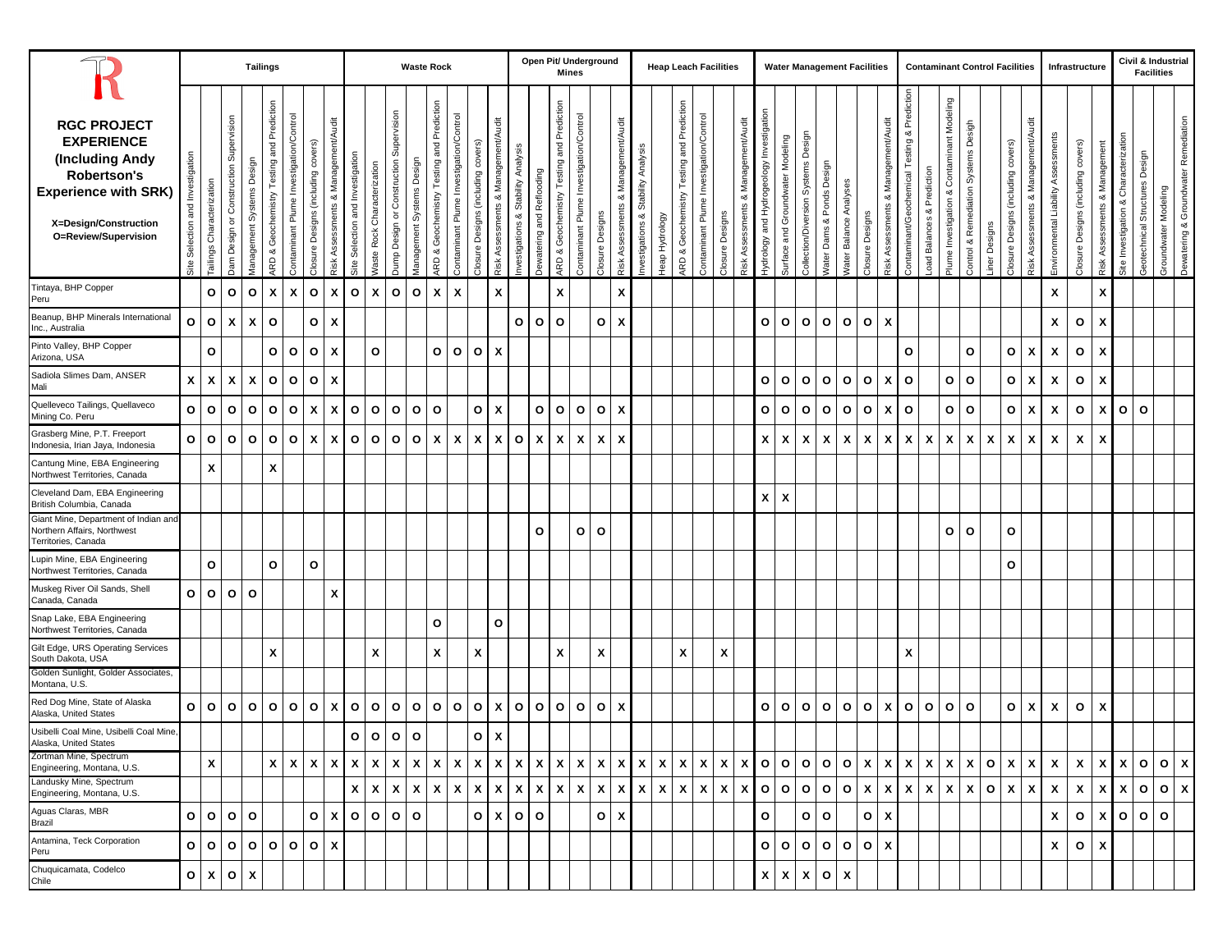|                                                                                                                                                                  |                                     |                           |                                              | <b>Tailings</b>         |                                                    |                                         |                                    |                                                   |                                  |                             |                                                  |                           | <b>Waste Rock</b>                               |                                         |                                    |                                           |                                       |                           |                                              | Open Pit/ Underground<br><b>Mines</b>   |                 |                                        |                                    |                |                                           | <b>Heap Leach Facilities</b>            |                           |                                                  |                                          |                                  |                                        |                                         |                                  | <b>Water Management Facilities</b> |                                        |                                                 |                                 |                                                  |                                         | <b>Contaminant Control Facilities</b> |                                    |                                               |                                     | Infrastructure                     |                                  |                                             | Civil & Industrial<br><b>Facilities</b> |                      |                                      |
|------------------------------------------------------------------------------------------------------------------------------------------------------------------|-------------------------------------|---------------------------|----------------------------------------------|-------------------------|----------------------------------------------------|-----------------------------------------|------------------------------------|---------------------------------------------------|----------------------------------|-----------------------------|--------------------------------------------------|---------------------------|-------------------------------------------------|-----------------------------------------|------------------------------------|-------------------------------------------|---------------------------------------|---------------------------|----------------------------------------------|-----------------------------------------|-----------------|----------------------------------------|------------------------------------|----------------|-------------------------------------------|-----------------------------------------|---------------------------|--------------------------------------------------|------------------------------------------|----------------------------------|----------------------------------------|-----------------------------------------|----------------------------------|------------------------------------|----------------------------------------|-------------------------------------------------|---------------------------------|--------------------------------------------------|-----------------------------------------|---------------------------------------|------------------------------------|-----------------------------------------------|-------------------------------------|------------------------------------|----------------------------------|---------------------------------------------|-----------------------------------------|----------------------|--------------------------------------|
| <b>RGC PROJECT</b><br><b>EXPERIENCE</b><br>(Including Andy<br><b>Robertson's</b><br><b>Experience with SRK)</b><br>X=Design/Construction<br>O=Review/Supervision | Investigation<br>Site Selection and | Tailings Characterization | Supervision<br>or Construction<br>Jam Design | ق<br>Management Systems | Prediction<br>and<br>Testing<br>ARD & Geochemistry | Contaminant Plume Investigation/Control | Closure Designs (including covers) | Audit<br>Assessments & Management/<br><b>Risk</b> | Site Selection and Investigation | Vaste Rock Characterization | Supervision<br>Construction<br>Design or<br>Dump | Management Systems Design | Prediction<br>and<br>ARD & Geochemistry Testing | Contaminant Plume Investigation/Control | Closure Designs (including covers) | Management/Audit<br>ಳ<br>Risk Assessments | Analysis<br>nvestigations & Stability | Dewatering and Reflooding | Testing and Prediction<br>ARD & Geochemistry | Contaminant Plume Investigation/Control | Closure Designs | & Management/Audit<br>Risk Assessments | nvestigations & Stability Analysis | Heap Hydrology | ARD & Geochemistry Testing and Prediction | Contaminant Plume Investigation/Control | Closure Designs           | Management/Audit<br>ಯ<br><b>Risk Assessments</b> | hydrology and Hydrogeology Investigation | Surface and Groundwater Modeling | Design<br>Collection/Diversion Systems | Design<br><b>Nater Dams &amp; Ponds</b> | Analyses<br><b>Nater Balance</b> | Closure Designs                    | & Management/Audit<br>Risk Assessments | Prediction<br>Contaminant/Geochemical Testing & | Prediction<br>ಯ<br>oad Balances | Contaminant Modeling<br>ಯ<br>Plume Investigation | Desigh<br>Control & Remediation Systems | iner Designs                          | Closure Designs (including covers) | & Management/Audit<br><b>Risk Assessments</b> | Environmental Liability Assessments | Closure Designs (including covers) | & Management<br>Risk Assessments | Characterization<br>ಳ<br>Site Investigation | Design<br>Geotechnical Structures       | Groundwater Modeling | Dewatering & Groundwater Remediation |
| Tintaya, BHP Copper<br>Peru                                                                                                                                      |                                     | $\mathsf{o}$              | $\circ$                                      | $\mathbf{o}$            | $\pmb{\mathsf{x}}$                                 | X                                       | $\circ$                            | X                                                 | $\mathbf{o}$                     | $\boldsymbol{\mathsf{x}}$   | $\mathbf{o}$                                     | $\mathbf{o}$              | $\boldsymbol{\mathsf{x}}$                       | X                                       |                                    | X                                         |                                       |                           | $\pmb{\mathsf{x}}$                           |                                         |                 | X                                      |                                    |                |                                           |                                         |                           |                                                  |                                          |                                  |                                        |                                         |                                  |                                    |                                        |                                                 |                                 |                                                  |                                         |                                       |                                    |                                               | X                                   |                                    | X                                |                                             |                                         |                      |                                      |
| Beanup, BHP Minerals International<br>Inc., Australia                                                                                                            | O                                   | $\mathbf{o}$              | X                                            | X                       | $\mathbf{o}$                                       |                                         | O                                  | X                                                 |                                  |                             |                                                  |                           |                                                 |                                         |                                    |                                           | $\circ$                               | $\circ$                   | $\mathbf{o}$                                 |                                         | $\circ$         | X                                      |                                    |                |                                           |                                         |                           |                                                  | $\mathbf{o}$                             | $\circ$                          | $\mathbf{o}$                           | $\mathsf{o}$                            | $\circ$                          | $\mathbf{o}$                       | X                                      |                                                 |                                 |                                                  |                                         |                                       |                                    |                                               | X                                   | $\circ$                            | X                                |                                             |                                         |                      |                                      |
| Pinto Valley, BHP Copper<br>Arizona, USA                                                                                                                         |                                     | $\mathbf{o}$              |                                              |                         | O                                                  | $\mathbf{o}$                            | O                                  | X                                                 |                                  | $\mathbf{o}$                |                                                  |                           | O                                               | $\mathbf{o}$                            | $\circ$                            | $\boldsymbol{\mathsf{x}}$                 |                                       |                           |                                              |                                         |                 |                                        |                                    |                |                                           |                                         |                           |                                                  |                                          |                                  |                                        |                                         |                                  |                                    |                                        | O                                               |                                 |                                                  | O                                       |                                       | $\mathbf{o}$                       | X                                             | X                                   | $\mathbf{o}$                       | X                                |                                             |                                         |                      |                                      |
| Sadiola Slimes Dam, ANSER<br>Mali                                                                                                                                | X                                   | X                         | X                                            | X                       | $\mathsf{o}\,$                                     | $\mathbf{o}$                            | $\mathbf{o}$                       | X                                                 |                                  |                             |                                                  |                           |                                                 |                                         |                                    |                                           |                                       |                           |                                              |                                         |                 |                                        |                                    |                |                                           |                                         |                           |                                                  | $\mathbf{o}$                             | $\circ$                          | $\mathbf{o}$                           | $\mathsf{o}\,$                          | $\circ$                          | $\mathbf{o}$                       | X                                      | $\mathbf{o}$                                    |                                 | o                                                | $\mathbf{o}$                            |                                       | $\mathbf{o}$                       | X                                             | χ                                   | $\mathbf{o}$                       | X                                |                                             |                                         |                      |                                      |
| Quelleveco Tailings, Quellaveco<br>Mining Co. Peru                                                                                                               | o                                   | $\mathbf{o}$              | $\circ$                                      | $\mathbf{o}$            | $\mathbf{o}$                                       | $\circ$                                 | $\boldsymbol{\mathsf{x}}$          | X                                                 | $\mathbf{o}$                     | $\mathbf{o}$                | $\mathbf{o}$                                     | 0 <sub>0</sub>            |                                                 |                                         | $\mathbf{o}$                       | $\boldsymbol{\mathsf{x}}$                 |                                       | $\circ$                   | $\mathbf{o}$                                 | $\mathbf{o}$                            | O               | X                                      |                                    |                |                                           |                                         |                           |                                                  | $\mathbf{o}$                             | $\circ$                          | $\mathbf{o}$                           | $\mathsf{o}\,$                          | $\circ$                          | $\circ$                            | X                                      | $\circ$                                         |                                 | o                                                | $\mathbf{o}$                            |                                       | $\mathbf{o}$                       | X                                             | X                                   | $\mathbf{o}$                       | $\boldsymbol{\mathsf{x}}$        | $\circ$                                     | $\circ$                                 |                      |                                      |
| Grasberg Mine, P.T. Freeport<br>Indonesia, Irian Jaya, Indonesia                                                                                                 |                                     | 0 <sup>o</sup>            | $\circ$                                      | $\mathbf{o}$            | $\mathbf{o}$                                       | $\circ$                                 | X                                  | X                                                 | $\circ$                          | $\mathbf{o}$                | $\mathbf{o}$                                     | $\circ$                   | $\boldsymbol{\mathsf{x}}$                       | $\mathsf{x}$                            | X                                  | X                                         | $\circ$                               | X                         | $\boldsymbol{x}$                             | $\boldsymbol{\mathsf{x}}$               | X               | X                                      |                                    |                |                                           |                                         |                           |                                                  | $\mathsf{x}$                             | $\boldsymbol{\mathsf{x}}$        | X                                      | X                                       | X                                | X                                  | X                                      | $\boldsymbol{\mathsf{x}}$                       | X                               | X                                                | X                                       | X                                     | X                                  | X                                             | X                                   | X                                  | X                                |                                             |                                         |                      |                                      |
| Cantung Mine, EBA Engineering<br>Northwest Territories, Canada                                                                                                   |                                     | $\mathbf{x}$              |                                              |                         | X                                                  |                                         |                                    |                                                   |                                  |                             |                                                  |                           |                                                 |                                         |                                    |                                           |                                       |                           |                                              |                                         |                 |                                        |                                    |                |                                           |                                         |                           |                                                  |                                          |                                  |                                        |                                         |                                  |                                    |                                        |                                                 |                                 |                                                  |                                         |                                       |                                    |                                               |                                     |                                    |                                  |                                             |                                         |                      |                                      |
| Cleveland Dam, EBA Engineering<br>British Columbia, Canada                                                                                                       |                                     |                           |                                              |                         |                                                    |                                         |                                    |                                                   |                                  |                             |                                                  |                           |                                                 |                                         |                                    |                                           |                                       |                           |                                              |                                         |                 |                                        |                                    |                |                                           |                                         |                           |                                                  | $\boldsymbol{x}$                         | $\boldsymbol{\mathsf{x}}$        |                                        |                                         |                                  |                                    |                                        |                                                 |                                 |                                                  |                                         |                                       |                                    |                                               |                                     |                                    |                                  |                                             |                                         |                      |                                      |
| Giant Mine, Department of Indian and<br>Northern Affairs, Northwest<br>Territories, Canada                                                                       |                                     |                           |                                              |                         |                                                    |                                         |                                    |                                                   |                                  |                             |                                                  |                           |                                                 |                                         |                                    |                                           |                                       | O                         |                                              | $\circ$                                 | $\circ$         |                                        |                                    |                |                                           |                                         |                           |                                                  |                                          |                                  |                                        |                                         |                                  |                                    |                                        |                                                 |                                 | O                                                | $\mathbf{o}$                            |                                       | O                                  |                                               |                                     |                                    |                                  |                                             |                                         |                      |                                      |
| Lupin Mine, EBA Engineering<br>Northwest Territories, Canada                                                                                                     |                                     | $\mathbf{o}$              |                                              |                         | $\circ$                                            |                                         | $\mathbf{o}$                       |                                                   |                                  |                             |                                                  |                           |                                                 |                                         |                                    |                                           |                                       |                           |                                              |                                         |                 |                                        |                                    |                |                                           |                                         |                           |                                                  |                                          |                                  |                                        |                                         |                                  |                                    |                                        |                                                 |                                 |                                                  |                                         |                                       | O                                  |                                               |                                     |                                    |                                  |                                             |                                         |                      |                                      |
| Muskeg River Oil Sands, Shell<br>Canada, Canada                                                                                                                  | $\mathbf{o}$                        | $\mathbf{o}$              | $\mathbf{o}$                                 | O                       |                                                    |                                         |                                    | X                                                 |                                  |                             |                                                  |                           |                                                 |                                         |                                    |                                           |                                       |                           |                                              |                                         |                 |                                        |                                    |                |                                           |                                         |                           |                                                  |                                          |                                  |                                        |                                         |                                  |                                    |                                        |                                                 |                                 |                                                  |                                         |                                       |                                    |                                               |                                     |                                    |                                  |                                             |                                         |                      |                                      |
| Snap Lake, EBA Engineering<br>Northwest Territories, Canada                                                                                                      |                                     |                           |                                              |                         |                                                    |                                         |                                    |                                                   |                                  |                             |                                                  |                           | O                                               |                                         |                                    | $\circ$                                   |                                       |                           |                                              |                                         |                 |                                        |                                    |                |                                           |                                         |                           |                                                  |                                          |                                  |                                        |                                         |                                  |                                    |                                        |                                                 |                                 |                                                  |                                         |                                       |                                    |                                               |                                     |                                    |                                  |                                             |                                         |                      |                                      |
| Gilt Edge, URS Operating Services<br>South Dakota, USA                                                                                                           |                                     |                           |                                              |                         | X                                                  |                                         |                                    |                                                   |                                  | X                           |                                                  |                           | X                                               |                                         | $\pmb{\mathsf{x}}$                 |                                           |                                       |                           | $\pmb{\chi}$                                 |                                         | X               |                                        |                                    |                | X                                         |                                         | $\boldsymbol{\mathsf{x}}$ |                                                  |                                          |                                  |                                        |                                         |                                  |                                    |                                        | X                                               |                                 |                                                  |                                         |                                       |                                    |                                               |                                     |                                    |                                  |                                             |                                         |                      |                                      |
| Golden Sunlight, Golder Associates,<br>Montana, U.S.                                                                                                             |                                     |                           |                                              |                         |                                                    |                                         |                                    |                                                   |                                  |                             |                                                  |                           |                                                 |                                         |                                    |                                           |                                       |                           |                                              |                                         |                 |                                        |                                    |                |                                           |                                         |                           |                                                  |                                          |                                  |                                        |                                         |                                  |                                    |                                        |                                                 |                                 |                                                  |                                         |                                       |                                    |                                               |                                     |                                    |                                  |                                             |                                         |                      |                                      |
| Red Dog Mine, State of Alaska<br>Alaska, United States                                                                                                           | $\circ$                             | l o                       | $\circ$                                      | o                       | $\mathbf{o}$                                       | $\circ$                                 | $\circ$                            | X                                                 | $\circ$                          | $\mathbf{o}$                | $\mathbf{o}$                                     | $\circ$                   | $\circ$                                         | $\mathbf{o}$                            | $\circ$                            | $\mathbf{x}$                              | $\circ$                               | $\mathbf{o}$              | $\mathbf{o}$                                 | $\mathbf{o}$                            | $\circ$         | $\mathbf{x}$                           |                                    |                |                                           |                                         |                           |                                                  | $\mathbf{o}$                             | O                                | $\circ$                                | $\circ$                                 | $\circ$                          | $\circ$                            | X                                      | $\mathbf{o}$                                    | $\circ$                         | O                                                | $\circ$                                 |                                       | $\mathbf{o}$                       | X                                             | X                                   | $\circ$                            | X                                |                                             |                                         |                      |                                      |
| Usibelli Coal Mine, Usibelli Coal Mine,<br>Alaska, United States                                                                                                 |                                     |                           |                                              |                         |                                                    |                                         |                                    |                                                   | $\mathbf{o}$                     | $\mathbf{o}$                | $\circ$                                          | $\circ$                   |                                                 |                                         | o                                  | $\boldsymbol{\mathsf{x}}$                 |                                       |                           |                                              |                                         |                 |                                        |                                    |                |                                           |                                         |                           |                                                  |                                          |                                  |                                        |                                         |                                  |                                    |                                        |                                                 |                                 |                                                  |                                         |                                       |                                    |                                               |                                     |                                    |                                  |                                             |                                         |                      |                                      |
| Zortman Mine, Spectrum<br>Engineering, Montana, U.S.                                                                                                             |                                     | X                         |                                              |                         | x                                                  | $X$   $X$                               |                                    | X                                                 | $\boldsymbol{\mathsf{x}}$        | $\mathsf{x}$                | $\mathsf{x}$                                     | $x \mid x$                |                                                 | $\boldsymbol{\mathsf{x}}$               | $\mathbf{x}$                       |                                           | $x \mid x \mid x$                     |                           | $\mathbf{x}$                                 | $\boldsymbol{\mathsf{x}}$               | $\mathbf{x}$    | X I                                    |                                    | $X \mid X$     | $\boldsymbol{\mathsf{x}}$                 | $\boldsymbol{\mathsf{x}}$               | X                         | $\mathbf{x}$                                     |                                          | 0 0                              |                                        | 0 0 0                                   |                                  | $\mathsf{x}$                       | X                                      | $\mathbf{x}$                                    | $\boldsymbol{\mathsf{x}}$       | X                                                | X                                       | $\circ$                               | X                                  | x                                             | X                                   | X                                  |                                  |                                             | x   x   o   o   x                       |                      |                                      |
| Landusky Mine, Spectrum<br>Engineering, Montana, U.S.                                                                                                            |                                     |                           |                                              |                         |                                                    |                                         |                                    |                                                   | $\boldsymbol{\mathsf{x}}$        | $\mathbf{x}$                | $\mathbf{x}$                                     | $X$ $X$                   |                                                 | $x \mid x \mid x \mid x \mid x \mid x$  |                                    |                                           |                                       |                           |                                              | $X$ $X$                                 |                 |                                        | $x \mid x \mid x$                  |                |                                           | $x \mid x \mid x$                       |                           |                                                  | x 0 0                                    |                                  |                                        | 0 0 0                                   |                                  | $\boldsymbol{\mathsf{x}}$          | $\mathbf{x}$                           | $\mathbf{x}$                                    | $X$ $X$                         |                                                  | $\mathbf{x}$                            | O X                                   |                                    | X                                             | $\boldsymbol{\mathsf{x}}$           | $\boldsymbol{\mathsf{x}}$          |                                  |                                             | x   x   o   o   x                       |                      |                                      |
| Aguas Claras, MBR<br>Brazil                                                                                                                                      | O                                   | $\mathbf{o}$              | 0 0                                          |                         |                                                    |                                         | O                                  | X                                                 | O <sub>1</sub>                   |                             | $\circ$                                          | l o                       |                                                 |                                         |                                    | $0 \mid X \mid 0 \mid 0$                  |                                       |                           |                                              |                                         | O               | $\boldsymbol{x}$                       |                                    |                |                                           |                                         |                           |                                                  | O                                        |                                  | $\circ$                                | $\circ$                                 |                                  | $\circ$                            | X                                      |                                                 |                                 |                                                  |                                         |                                       |                                    |                                               | X                                   | $\circ$                            |                                  |                                             | x 0 0 0                                 |                      |                                      |
| Antamina, Teck Corporation<br>Peru                                                                                                                               |                                     | O   O                     | $O$ $O$                                      |                         |                                                    | 0 0 0                                   |                                    | $\mathbf{x}$                                      |                                  |                             |                                                  |                           |                                                 |                                         |                                    |                                           |                                       |                           |                                              |                                         |                 |                                        |                                    |                |                                           |                                         |                           |                                                  |                                          | O <sub>1</sub>                   |                                        | 0 0 0                                   |                                  | $O$ $x$                            |                                        |                                                 |                                 |                                                  |                                         |                                       |                                    |                                               | $\boldsymbol{\mathsf{x}}$           | $O$   X                            |                                  |                                             |                                         |                      |                                      |
| Chuquicamata, Codelco<br>Chile                                                                                                                                   | $\circ$                             | $\mathbf{x}$              | O X                                          |                         |                                                    |                                         |                                    |                                                   |                                  |                             |                                                  |                           |                                                 |                                         |                                    |                                           |                                       |                           |                                              |                                         |                 |                                        |                                    |                |                                           |                                         |                           |                                                  |                                          | $x \mathbf{X}$                   | $\boldsymbol{\mathsf{x}}$              | O X                                     |                                  |                                    |                                        |                                                 |                                 |                                                  |                                         |                                       |                                    |                                               |                                     |                                    |                                  |                                             |                                         |                      |                                      |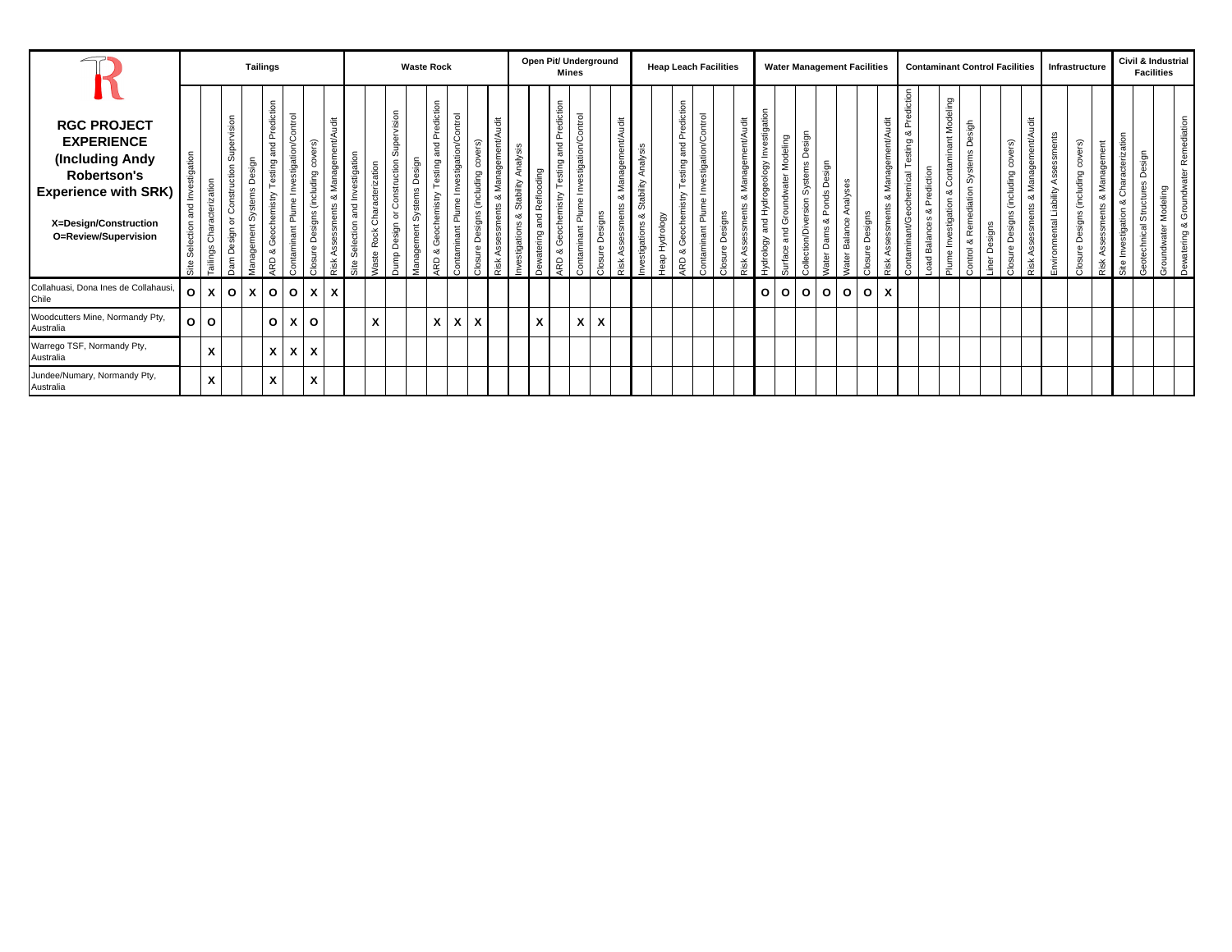|                                                                                                                                                           |         |                              |                                       | <b>Tailings</b>    |                                                        |                                           |                                                       |                               |                                            |                                   |                                          | <b>Waste Rock</b>                                 |                                                          |                                                       |                                     |                                            |                                               |                              | Open Pit/ Underground                                  | <b>Mines</b>                                      |                 |                     |                                          | <b>Heap Leach Facilities</b> |                                                 |                                                                    |                    |                |                                        | <b>Water Management Facilities</b>    |                                                                    |              |                           |                                  |                         |                                                       |                         |                                                         |                                         |                            |         | <b>Contaminant Control Facilities</b> |                              | Infrastructure      |                                              |               |                                             |                                                                    | Civil & Industrial<br><b>Facilities</b> |                                         |
|-----------------------------------------------------------------------------------------------------------------------------------------------------------|---------|------------------------------|---------------------------------------|--------------------|--------------------------------------------------------|-------------------------------------------|-------------------------------------------------------|-------------------------------|--------------------------------------------|-----------------------------------|------------------------------------------|---------------------------------------------------|----------------------------------------------------------|-------------------------------------------------------|-------------------------------------|--------------------------------------------|-----------------------------------------------|------------------------------|--------------------------------------------------------|---------------------------------------------------|-----------------|---------------------|------------------------------------------|------------------------------|-------------------------------------------------|--------------------------------------------------------------------|--------------------|----------------|----------------------------------------|---------------------------------------|--------------------------------------------------------------------|--------------|---------------------------|----------------------------------|-------------------------|-------------------------------------------------------|-------------------------|---------------------------------------------------------|-----------------------------------------|----------------------------|---------|---------------------------------------|------------------------------|---------------------|----------------------------------------------|---------------|---------------------------------------------|--------------------------------------------------------------------|-----------------------------------------|-----------------------------------------|
| <b>RGC PROJECT</b><br><b>EXPERIENCE</b><br>(Including Andy<br>Robertson's<br><b>Experience with SRK)</b><br>X=Design/Construction<br>O=Review/Supervision | ation   | Characterization<br>Tailings | Supervision<br>င်္<br>్యా<br>Õ<br>Dam | sigr<br>Ó<br>genay | Prediction<br>and<br>esting<br>Geochemistry<br>య<br>6D | Investigation/Control<br>ontaminant Plume | l.<br>$\omega$<br>(including<br>signs<br>Õ<br>Closure | fanagement/Audit<br>ents<br>ă | and Investigation<br>ction<br>Sele<br>Site | ation<br>cteriza<br>ě<br>ste<br>ğ | pervision<br>$\mathsf{sign}$<br>്<br>gum | esign<br>Õ<br>vster<br>$\omega$<br>nent<br>yanage | Prediction<br>and<br>sting<br>chemistry<br>Ō<br>ಂಶ<br>RD | ation/Control<br>stig<br>Inve<br>e<br>훈<br>ontaminant | ers)<br>(including<br>signs<br>sure | Audit<br>Management/<br>ంర<br>ents<br>Risk | Analysis<br>Stability<br>య<br>ഗ<br>stigations | paiho<br>d Reflo<br>watering | Prediction<br>and<br>esting<br>Geochemistry<br>య<br>6D | ation/Control<br>stig<br>inve:<br>룹<br>ontaminant | Closure Designs | nagement/Audit<br>ಯ | Analysis<br>Stability<br>≪<br>stigations | Heap Hydrology               | Prediction<br>and<br>esting<br>histry<br>య<br>۵ | Investigation/Control<br>$\mathbf{e}$<br>$\overline{a}$<br>ontamin | signs<br>്<br>sure | ent/Audit<br>œ | Investigation<br>drogeology<br>drology | Groundwater Modeling<br>and<br>urface | টা<br>൧ഀ<br>ste<br>৯<br>읎<br>n/Div<br>$\frac{5}{6}$<br>$rac{6}{5}$ | య<br>ater Da | Analyses<br>later Balance | ୃକ୍<br>്ട്<br>sure<br>$\epsilon$ | ğ<br>Managem<br>න්<br>× | Prediction<br>ಂರ<br>sting<br>chemical<br>ontaminant/G | rediction<br>oad Balanc | Modeling<br>nant<br>Ō<br>ంర<br>stigatio<br>lnve<br>lume | esigh<br>Systems<br>liation<br>య<br>put | $\sigma$<br>.<br>Sign<br>Φ | ട്<br>읅 | ers)<br>(including<br>ಯ<br>sign<br>πe | ment/Audit<br>ā<br><u>.ഗ</u> | men<br>ability<br>ਨ | (including covers)<br>esigns<br>Õ<br>Closure | t<br>Manageme | acterization<br>Chara<br>ation<br>stig<br>≧ | $\overline{5}$<br>Ó<br>cture<br>Strui<br>٥ŕ<br>동<br><sub>3</sub> e | deling                                  | Remediation<br>Dewatering & Groundwater |
| Collahuasi, Dona Ines de Collahausi,<br>Chile                                                                                                             | O       | x                            | $\circ$                               | X                  | $\circ$                                                | $\circ$                                   | X                                                     | X                             |                                            |                                   |                                          |                                                   |                                                          |                                                       |                                     |                                            |                                               |                              |                                                        |                                                   |                 |                     |                                          |                              |                                                 |                                                                    |                    |                | $\circ$                                | $\circ$                               | $\circ$                                                            | $\mathbf{o}$ | $\mathbf{o}$              | $\circ$                          | X                       |                                                       |                         |                                                         |                                         |                            |         |                                       |                              |                     |                                              |               |                                             |                                                                    |                                         |                                         |
| Woodcutters Mine, Normandy Pty,<br>Australia                                                                                                              | $\circ$ | $\circ$                      |                                       |                    | $\mathbf{o}$                                           | $\lambda$                                 | $\circ$                                               |                               |                                            | $\mathbf{v}$<br>v                 |                                          |                                                   | X                                                        | x                                                     | X                                   |                                            |                                               | X                            |                                                        | X                                                 | X               |                     |                                          |                              |                                                 |                                                                    |                    |                |                                        |                                       |                                                                    |              |                           |                                  |                         |                                                       |                         |                                                         |                                         |                            |         |                                       |                              |                     |                                              |               |                                             |                                                                    |                                         |                                         |
| Warrego TSF, Normandy Pty,<br>Australia                                                                                                                   |         | X                            |                                       |                    | $\mathsf{x}$                                           | $\mathsf{x}$                              | $\boldsymbol{\mathsf{x}}$                             |                               |                                            |                                   |                                          |                                                   |                                                          |                                                       |                                     |                                            |                                               |                              |                                                        |                                                   |                 |                     |                                          |                              |                                                 |                                                                    |                    |                |                                        |                                       |                                                                    |              |                           |                                  |                         |                                                       |                         |                                                         |                                         |                            |         |                                       |                              |                     |                                              |               |                                             |                                                                    |                                         |                                         |
| Jundee/Numary, Normandy Pty,<br>Australia                                                                                                                 |         | X                            |                                       |                    | X                                                      |                                           | X                                                     |                               |                                            |                                   |                                          |                                                   |                                                          |                                                       |                                     |                                            |                                               |                              |                                                        |                                                   |                 |                     |                                          |                              |                                                 |                                                                    |                    |                |                                        |                                       |                                                                    |              |                           |                                  |                         |                                                       |                         |                                                         |                                         |                            |         |                                       |                              |                     |                                              |               |                                             |                                                                    |                                         |                                         |